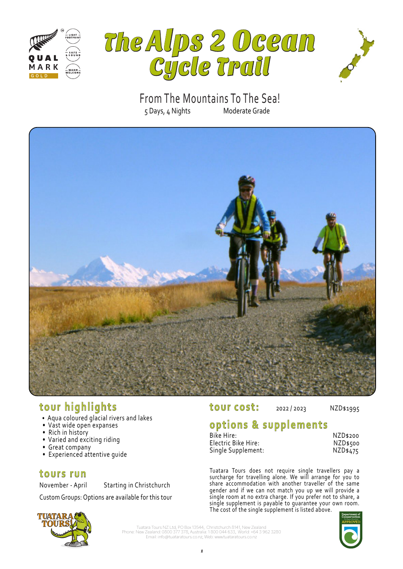





5 Days, 4 Nights Moderate Grade From The Mountains To The Sea!



# **tour highlights**

- Aqua coloured glacial rivers and lakes
- Vast wide open expanses
- Rich in history
- Varied and exciting riding
- Great company
- Experienced attentive guide

### **tours run**

November - April Starting in Christchurch

Custom Groups: Options are available for this tour

# **tour cost:** 2022/2023 NZD\$1995

# **options & supplements**

| Bike Hire:          | NZD\$200 |
|---------------------|----------|
| Electric Bike Hire: | NZD\$500 |
| Single Supplement:  | NZD\$475 |

Tuatara Tours does not require single travellers pay a surcharge for travelling alone. We will arrange for you to share accommodation with another traveller of the same gender and if we can not match you up we will provide a single room at no extra charge. If you prefer not to share, a single supplement is payable to guarantee your own room. The cost of the single supplement is listed above.

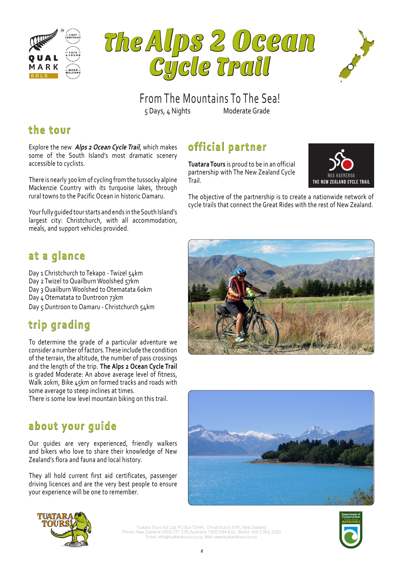





THE NEW ZEALAND CYCLE TRAIL

5 Days, 4 Nights Moderate Grade From The Mountains To The Sea!

Trail.

**official partner**

**Tuatara Tours** is proud to be in an official partnership with The New Zealand Cycle

# **the tour**

Explore the new **Alps 2 Ocean Cycle Trail**, which makes some of the South Island's most dramatic scenery accessible to cyclists.

There is nearly 300 km of cycling from the tussocky alpine Mackenzie Country with its turquoise lakes, through rural towns to the Pacific Ocean in historic Oamaru.

Your fully guided tour starts and ends in the South Island's largest city: Christchurch, with all accommodation, meals, and support vehicles provided.

# **at a glance**

Day 1 Christchurch to Tekapo - Twizel 54km Day 2 Twizel to Quailburn Woolshed 57km Day 3 Quailburn Woolshed to Otematata 60km Day 4 Otematata to Duntroon 73km Day 5 Duntroon to Oamaru - Christchurch 54km

# **trip grading**

To determine the grade of a particular adventure we consider a number of factors. These include the condition of the terrain, the altitude, the number of pass crossings and the length of the trip. **The Alps 2 Ocean Cycle Trail**  is graded Moderate: An above average level of fitness, Walk 20km, Bike 45km on formed tracks and roads with some average to steep inclines at times.

There is some low level mountain biking on this trail.

# **about your guide**

Our guides are very experienced, friendly walkers and bikers who love to share their knowledge of New Zealand's flora and fauna and local history.

They all hold current first aid certificates, passenger driving licences and are the very best people to ensure your experience will be one to remember.



The objective of the partnership is to create a nationwide network of cycle trails that connect the Great Rides with the rest of New Zealand.





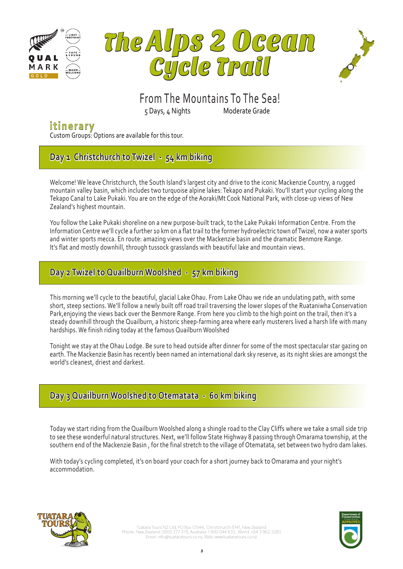





# From The Mountains To The Sea!

5 Days, 4 Nights Moderate Grade

## **itinerary**

Custom Groups: Options are available for this tour.

## **Day 1 Christchurch to Twizel - 54 km biking**

Welcome! We leave Christchurch, the South Island's largest city and drive to the iconic Mackenzie Country, a rugged mountain valley basin, which includes two turquoise alpine lakes: Tekapo and Pukaki. You'll start your cycling along the Tekapo Canal to Lake Pukaki. You are on the edge of the Aoraki/Mt Cook National Park, with close-up views of New Zealand's highest mountain.

You follow the Lake Pukaki shoreline on a new purpose-built track, to the Lake Pukaki Information Centre. From the Information Centre we'll cycle a further 10 km on a flat trail to the former hydroelectric town of Twizel, now a water sports and winter sports mecca. En route: amazing views over the Mackenzie basin and the dramatic Benmore Range. It's flat and mostly downhill, through tussock grasslands with beautiful lake and mountain views.

## **Day 2 Twizel to Quailburn Woolshed - 57 km biking**

This morning we'll cycle to the beautiful, glacial Lake Ohau. From Lake Ohau we ride an undulating path, with some short, steep sections. We'll follow a newly built off road trail traversing the lower slopes of the Ruataniwha Conservation Park,enjoying the views back over the Benmore Range. From here you climb to the high point on the trail, then it's a steady downhill through the Quailburn, a historic sheep-farming area where early musterers lived a harsh life with many hardships. We finish riding today at the famous Quailburn Woolshed

Tonight we stay at the Ohau Lodge. Be sure to head outside after dinner for some of the most spectacular star gazing on earth. The Mackenzie Basin has recently been named an international dark sky reserve, as its night skies are amongst the world's cleanest, driest and darkest.

### **Day 3 Quailburn Woolshed to Otematata - 60 km biking**

Today we start riding from the Quailburn Woolshed along a shingle road to the Clay Cliffs where we take a small side trip to see these wonderful natural structures. Next, we'll follow State Highway 8 passing through Omarama township, at the southern end of the Mackenzie Basin , for the final stretch to the village of Otematata, set between two hydro dam lakes.

With today's cycling completed, it's on board your coach for a short journey back to Omarama and your night's accommodation.

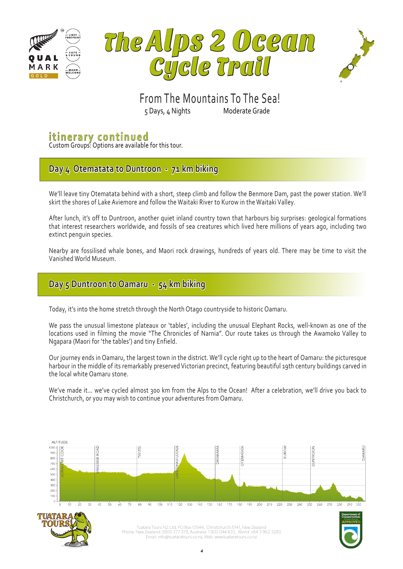





## 5 Days, 4 Nights Moderate Grade From The Mountains To The Sea!

## **itinerary continued**

Custom Groups: Options are available for this tour.

## **Day 4 Otematata to Duntroon - 71 km biking**

We'll leave tiny Otematata behind with a short, steep climb and follow the Benmore Dam, past the power station. We'll skirt the shores of Lake Aviemore and follow the Waitaki River to Kurow in the Waitaki Valley.

After lunch, it's off to Duntroon, another quiet inland country town that harbours big surprises: geological formations that interest researchers worldwide, and fossils of sea creatures which lived here millions of years ago, including two extinct penguin species.

Nearby are fossilised whale bones, and Maori rock drawings, hundreds of years old. There may be time to visit the Vanished World Museum.

### **Day 5 Duntroon to Oamaru - 54 km biking**

Today, it's into the home stretch through the North Otago countryside to historic Oamaru.

We pass the unusual limestone plateaux or 'tables', including the unusual Elephant Rocks, well-known as one of the locations used in filming the movie "The Chronicles of Narnia". Our route takes us through the Awamoko Valley to Ngapara (Maori for 'the tables') and tiny Enfield.

Our journey ends in Oamaru, the largest town in the district. We'll cycle right up to the heart of Oamaru: the picturesque harbour in the middle of its remarkably preserved Victorian precinct, featuring beautiful 19th century buildings carved in the local white Oamaru stone.

We've made it… we've cycled almost 300 km from the Alps to the Ocean! After a celebration, we'll drive you back to Christchurch, or you may wish to continue your adventures from Oamaru.





Phone: New Zealand: 0800 377 378, Australia: 1 800 044 633, World: +64 3 962 3280 Email: info@tuataratours.co.nz, Web: www.tuataratours.co.nz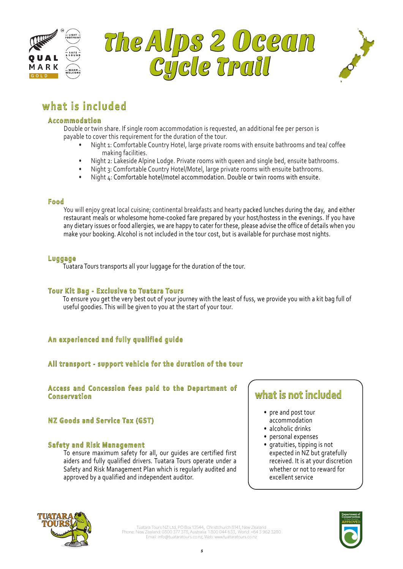





# **what is included**

#### **Accommodation**

 Double or twin share. If single room accommodation is requested, an additional fee per person is payable to cover this requirement for the duration of the tour.

- Night 1: Comfortable Country Hotel, large private rooms with ensuite bathrooms and tea/ coffee making facilities.
- Night 2: Lakeside Alpine Lodge. Private rooms with queen and single bed, ensuite bathrooms.
- Night 3: Comfortable Country Hotel/Motel, large private rooms with ensuite bathrooms.
- Night 4: Comfortable hotel/motel accommodation. Double or twin rooms with ensuite.

#### **Food**

You will enjoy great local cuisine; continental breakfasts and hearty packed lunches during the day, and either restaurant meals or wholesome home-cooked fare prepared by your host/hostess in the evenings. If you have any dietary issues or food allergies, we are happy to cater for these, please advise the office of details when you make your booking. Alcohol is not included in the tour cost, but is available for purchase most nights.

#### **Luggage**

Tuatara Tours transports all your luggage for the duration of the tour.

### **Tour Kit Bag - Exclusive to Tuatara Tours**

 To ensure you get the very best out of your journey with the least of fuss, we provide you with a kit bag full of useful goodies. This will be given to you at the start of your tour.

### **An experienced and fully qualified guide**

### **All transport - support vehicle for the duration of the tour**

**Access and Concession fees paid to the Department of Conservation**

### **NZ Goods and Service Tax (GST)**

#### **Safety and Risk Management**

To ensure maximum safety for all, our guides are certified first aiders and fully qualified drivers. Tuatara Tours operate under a Safety and Risk Management Plan which is regularly audited and approved by a qualified and independent auditor.

## **what is not included**

- pre and post tour accommodation
- alcoholic drinks
- personal expenses
- gratuities, tipping is not expected in NZ but gratefully received. It is at your discretion whether or not to reward for excellent service



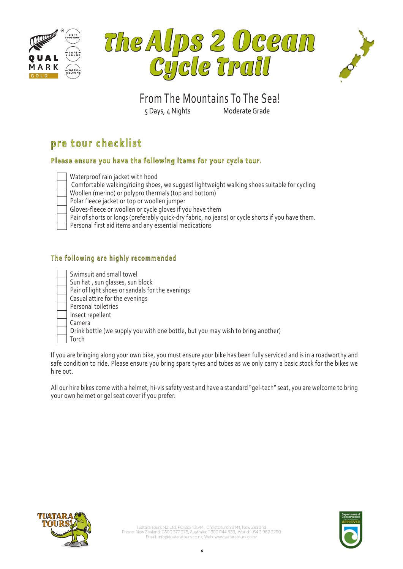





5 Days, 4 Nights Moderate Grade From The Mountains To The Sea!

# **pre tour checklist**

### **Please ensure you have the following items for your cycle tour.**

|  |  | Waterproof rain jacket with hood |  |  |  |  |
|--|--|----------------------------------|--|--|--|--|
|--|--|----------------------------------|--|--|--|--|

• Comfortable walking/riding shoes, we suggest lightweight walking shoes suitable for cycling

• Woollen (merino) or polypro thermals (top and bottom)

Polar fleece jacket or top or woollen jumper

Gloves-fleece or woollen or cycle gloves if you have them

Pair of shorts or longs (preferably quick-dry fabric, no jeans) or cycle shorts if you have them.

Personal first aid items and any essential medications

### The following are highly recommended

| Swimsuit and small towel    |
|-----------------------------|
| Sun hat , sun glasses, sun  |
| Pair of light shoes or sand |

- 1lasses, sun block ioes or sandals for the evenings
- Casual attire for the evenings
- Personal toiletries
- Insect repellent
- Camera
	- Drink bottle (we supply you with one bottle, but you may wish to bring another)
	- **Torch**

If you are bringing along your own bike, you must ensure your bike has been fully serviced and is in a roadworthy and safe condition to ride. Please ensure you bring spare tyres and tubes as we only carry a basic stock for the bikes we hire out.

All our hire bikes come with a helmet, hi-vis safety vest and have a standard "gel-tech" seat, you are welcome to bring your own helmet or gel seat cover if you prefer.



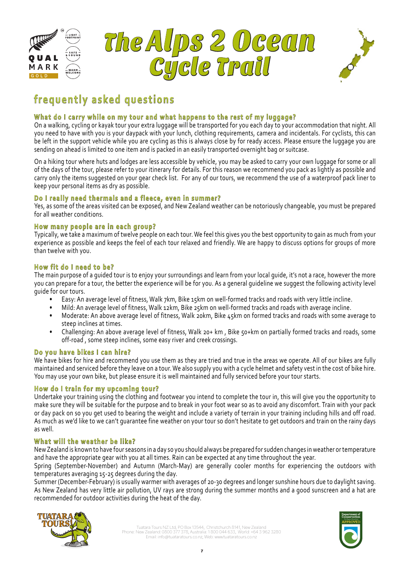





# From The Mountains To The Sea! **frequently asked questions**

#### 5 Days, 4 Nights Moderate Grade **What do I carry while on my tour and what happens to the rest of my luggage?**

On a walking, cycling or kayak tour your extra luggage will be transported for you each day to your accommodation that night. All you need to have with you is your daypack with your lunch, clothing requirements, camera and incidentals. For cyclists, this can be left in the support vehicle while you are cycling as this is always close by for ready access. Please ensure the luggage you are sending on ahead is limited to one item and is packed in an easily transported overnight bag or suitcase.

On a hiking tour where huts and lodges are less accessible by vehicle, you may be asked to carry your own luggage for some or all of the days of the tour, please refer to your itinerary for details. For this reason we recommend you pack as lightly as possible and carry only the items suggested on your gear check list. For any of our tours, we recommend the use of a waterproof pack liner to keep your personal items as dry as possible.

### **Do I really need thermals and a fleece, even in summer?**

Yes, as some of the areas visited can be exposed, and New Zealand weather can be notoriously changeable, you must be prepared for all weather conditions.

### **How many people are in each group?**

Typically, we take a maximum of twelve people on each tour. We feel this gives you the best opportunity to gain as much from your experience as possible and keeps the feel of each tour relaxed and friendly. We are happy to discuss options for groups of more than twelve with you.

### **How fit do I need to be?**

The main purpose of a guided tour is to enjoy your surroundings and learn from your local guide, it's not a race, however the more you can prepare for a tour, the better the experience will be for you. As a general guideline we suggest the following activity level guide for our tours.

- Easy: An average level of fitness, Walk 7km, Bike 15km on well-formed tracks and roads with very little incline.
- Mild: An average level of fitness, Walk 12km, Bike 25km on well-formed tracks and roads with average incline.
- Moderate: An above average level of fitness, Walk 20km, Bike 45km on formed tracks and roads with some average to steep inclines at times.
- Challenging: An above average level of fitness, Walk 20+ km , Bike 50+km on partially formed tracks and roads, some off-road , some steep inclines, some easy river and creek crossings.

### **Do you have bikes I can hire?**

We have bikes for hire and recommend you use them as they are tried and true in the areas we operate. All of our bikes are fully maintained and serviced before they leave on a tour. We also supply you with a cycle helmet and safety vest in the cost of bike hire. You may use your own bike, but please ensure it is well maintained and fully serviced before your tour starts.

### **How do I train for my upcoming tour?**

Undertake your training using the clothing and footwear you intend to complete the tour in, this will give you the opportunity to make sure they will be suitable for the purpose and to break in your foot wear so as to avoid any discomfort. Train with your pack or day pack on so you get used to bearing the weight and include a variety of terrain in your training including hills and off road. As much as we'd like to we can't guarantee fine weather on your tour so don't hesitate to get outdoors and train on the rainy days as well.

### **What will the weather be like?**

New Zealand is known to have four seasons in a day so you should always be prepared for sudden changes in weather or temperature and have the appropriate gear with you at all times. Rain can be expected at any time throughout the year.

Spring (September-November) and Autumn (March-May) are generally cooler months for experiencing the outdoors with temperatures averaging 15-25 degrees during the day.

Summer (December-February) is usually warmer with averages of 20-30 degrees and longer sunshine hours due to daylight saving. As New Zealand has very little air pollution, UV rays are strong during the summer months and a good sunscreen and a hat are recommended for outdoor activities during the heat of the day.



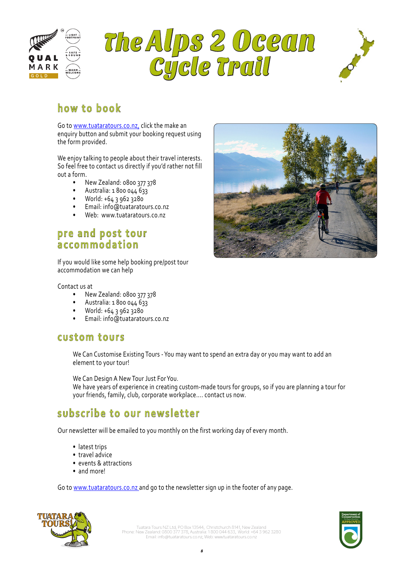





# **how to book**

Go to www.tuataratours.co.nz, click the make an enquiry button and submit your booking request using the form provided.

We enjoy talking to people about their travel interests. So feel free to contact us directly if you'd rather not fill out a form.

- New Zealand: 0800 377 378
- Australia: 1 800 044 633
- World: +64 3 962 3280
- Email: info@tuataratours.co.nz
- Web: www.tuataratours.co.nz

## **pre and post tour accommodation**

If you would like some help booking pre/post tour accommodation we can help

#### Contact us at

- New Zealand: 0800 377 378
- Australia: 1 800 044 633
- World: +64 3 962 3280
- Email: info@tuataratours.co.nz

### **custom tours**

We Can Customise Existing Tours - You may want to spend an extra day or you may want to add an element to your tour!

We Can Design A New Tour Just For You.

We have years of experience in creating custom-made tours for groups, so if you are planning a tour for your friends, family, club, corporate workplace.... contact us now.

## **subscribe to our newsletter**

Our newsletter will be emailed to you monthly on the first working day of every month.

- latest trips
- travel advice
- events & attractions
- and more!

Go to www.tuataratours.co.nz and go to the newsletter sign up in the footer of any page.





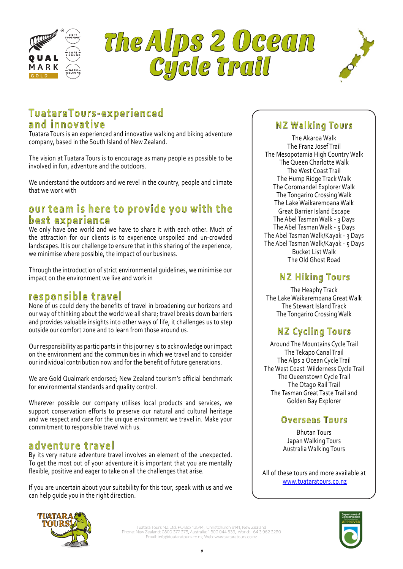





# 5 Days, 4 Nights Moderate Grade **TuataraTours-experienced and innovative**

Tuatara Tours is an experienced and innovative walking and biking adventure company, based in the South Island of New Zealand.

The vision at Tuatara Tours is to encourage as many people as possible to be involved in fun, adventure and the outdoors.

We understand the outdoors and we revel in the country, people and climate that we work with

## our team is here to provide you with the **best experience**

We only have one world and we have to share it with each other. Much of the attraction for our clients is to experience unspoiled and un-crowded landscapes. It is our challenge to ensure that in this sharing of the experience, we minimise where possible, the impact of our business.

Through the introduction of strict environmental guidelines, we minimise our impact on the environment we live and work in

## **responsible travel**

None of us could deny the benefits of travel in broadening our horizons and our way of thinking about the world we all share; travel breaks down barriers and provides valuable insights into other ways of life, it challenges us to step outside our comfort zone and to learn from those around us.

Our responsibility as participants in this journey is to acknowledge our impact on the environment and the communities in which we travel and to consider our individual contribution now and for the benefit of future generations.

We are Gold Qualmark endorsed; New Zealand tourism's official benchmark for environmental standards and quality control.

Wherever possible our company utilises local products and services, we support conservation efforts to preserve our natural and cultural heritage and we respect and care for the unique environment we travel in. Make your commitment to responsible travel with us.

## **adventure travel**

By its very nature adventure travel involves an element of the unexpected. To get the most out of your adventure it is important that you are mentally flexible, positive and eager to take on all the challenges that arise.

If you are uncertain about your suitability for this tour, speak with us and we can help guide you in the right direction.

## **NZ Walking Tours**

The Akaroa Walk The Franz Josef Trail The Mesopotamia High Country Walk The Queen Charlotte Walk The West Coast Trail The Hump Ridge Track Walk The Coromandel Explorer Walk The Tongariro Crossing Walk The Lake Waikaremoana Walk Great Barrier Island Escape The Abel Tasman Walk - 3 Days The Abel Tasman Walk - 5 Days The Abel Tasman Walk/Kayak - 3 Days The Abel Tasman Walk/Kayak - 5 Days Bucket List Walk The Old Ghost Road

## **NZ Hiking Tours**

The Heaphy Track The Lake Waikaremoana Great Walk The Stewart Island Track The Tongariro Crossing Walk

# **NZ Cycling Tours**

Around The Mountains Cycle Trail The Tekapo Canal Trail The Alps 2 Ocean Cycle Trail The West Coast Wilderness Cycle Trail The Queenstown Cycle Trail The Otago Rail Trail The Tasman Great Taste Trail and Golden Bay Explorer

## **Overseas Tours**

Bhutan Tours Japan Walking Tours Australia Walking Tours

All of these tours and more available at www.tuataratours.co.nz



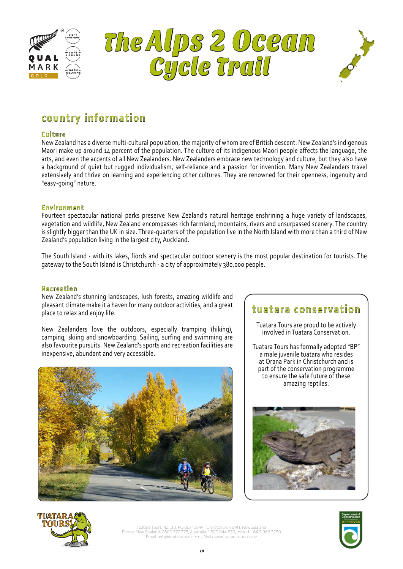





# **country information**

### **Culture**

New Zealand has a diverse multi-cultural population, the majority of whom are of British descent. New Zealand's indigenous Maori make up around 14 percent of the population. The culture of its indigenous Maori people affects the language, the arts, and even the accents of all New Zealanders. New Zealanders embrace new technology and culture, but they also have a background of quiet but rugged individualism, self-reliance and a passion for invention. Many New Zealanders travel extensively and thrive on learning and experiencing other cultures. They are renowned for their openness, ingenuity and "easy-going" nature.

### **Environment**

Fourteen spectacular national parks preserve New Zealand's natural heritage enshrining a huge variety of landscapes, vegetation and wildlife, New Zealand encompasses rich farmland, mountains, rivers and unsurpassed scenery. The country is slightly bigger than the UK in size. Three-quarters of the population live in the North Island with more than a third of New Zealand's population living in the largest city, Auckland.

The South Island - with its lakes, fiords and spectacular outdoor scenery is the most popular destination for tourists. The gateway to the South Island is Christchurch - a city of approximately 380,000 people.

#### **Recreation**

New Zealand's stunning landscapes, lush forests, amazing wildlife and pleasant climate make it a haven for many outdoor activities, and a great place to relax and enjoy life.

New Zealanders love the outdoors, especially tramping (hiking), camping, skiing and snowboarding. Sailing, surfing and swimming are also favourite pursuits. New Zealand's sports and recreation facilities are inexpensive, abundant and very accessible.



## **tuatara conservation**

Tuatara Tours are proud to be actively involved in Tuatara Conservation.

Tuatara Tours has formally adopted "BP" a male juvenile tuatara who resides at Orana Park in Christchurch and is part of the conservation programme to ensure the safe future of these amazing reptiles.